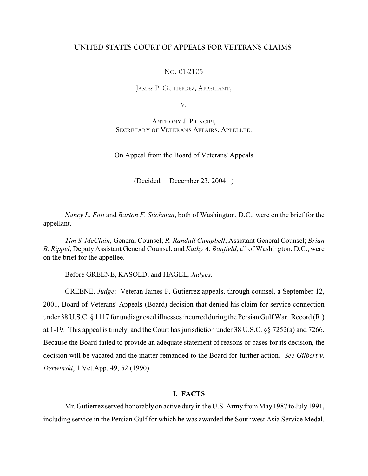# **UNITED STATES COURT OF APPEALS FOR VETERANS CLAIMS**

## NO. 01-2105

JAMES P. GUTIERREZ, APPELLANT,

V.

ANTHONY J. PRINCIPI, SECRETARY OF VETERANS AFFAIRS, APPELLEE.

On Appeal from the Board of Veterans' Appeals

(Decided December 23, 2004 )

*Nancy L. Foti* and *Barton F. Stichman*, both of Washington, D.C., were on the brief for the appellant.

*Tim S. McClain*, General Counsel; *R. Randall Campbell*, Assistant General Counsel; *Brian B. Rippel*, Deputy Assistant General Counsel; and *Kathy A. Banfield*, all of Washington, D.C., were on the brief for the appellee.

Before GREENE, KASOLD, and HAGEL, *Judges*.

GREENE, *Judge*: Veteran James P. Gutierrez appeals, through counsel, a September 12, 2001, Board of Veterans' Appeals (Board) decision that denied his claim for service connection under 38 U.S.C. § 1117 for undiagnosed illnesses incurred during the Persian Gulf War. Record (R.) at 1-19. This appeal is timely, and the Court has jurisdiction under 38 U.S.C. §§ 7252(a) and 7266. Because the Board failed to provide an adequate statement of reasons or bases for its decision, the decision will be vacated and the matter remanded to the Board for further action. *See Gilbert v. Derwinski*, 1 Vet.App. 49, 52 (1990).

# **I. FACTS**

Mr. Gutierrez served honorably on active duty in the U.S. Army from May 1987 to July 1991, including service in the Persian Gulf for which he was awarded the Southwest Asia Service Medal.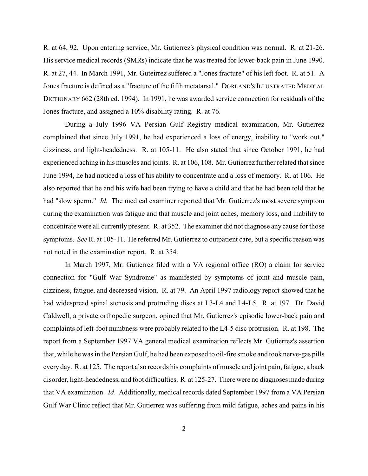R. at 64, 92. Upon entering service, Mr. Gutierrez's physical condition was normal. R. at 21-26. His service medical records (SMRs) indicate that he was treated for lower-back pain in June 1990. R. at 27, 44. In March 1991, Mr. Guteirrez suffered a "Jones fracture" of his left foot. R. at 51. A Jones fracture is defined as a "fracture of the fifth metatarsal." DORLAND'S ILLUSTRATED MEDICAL DICTIONARY 662 (28th ed. 1994). In 1991, he was awarded service connection for residuals of the Jones fracture, and assigned a 10% disability rating. R. at 76.

During a July 1996 VA Persian Gulf Registry medical examination, Mr. Gutierrez complained that since July 1991, he had experienced a loss of energy, inability to "work out," dizziness, and light-headedness. R. at 105-11. He also stated that since October 1991, he had experienced aching in his muscles and joints. R. at 106, 108. Mr. Gutierrez further related that since June 1994, he had noticed a loss of his ability to concentrate and a loss of memory. R. at 106. He also reported that he and his wife had been trying to have a child and that he had been told that he had "slow sperm." *Id.* The medical examiner reported that Mr. Gutierrez's most severe symptom during the examination was fatigue and that muscle and joint aches, memory loss, and inability to concentrate were all currently present. R. at 352. The examiner did not diagnose any cause for those symptoms. *See* R. at 105-11. He referred Mr. Gutierrez to outpatient care, but a specific reason was not noted in the examination report. R. at 354.

In March 1997, Mr. Gutierrez filed with a VA regional office (RO) a claim for service connection for "Gulf War Syndrome" as manifested by symptoms of joint and muscle pain, dizziness, fatigue, and decreased vision. R. at 79. An April 1997 radiology report showed that he had widespread spinal stenosis and protruding discs at L3-L4 and L4-L5. R. at 197. Dr. David Caldwell, a private orthopedic surgeon, opined that Mr. Gutierrez's episodic lower-back pain and complaints of left-foot numbness were probably related to the L4-5 disc protrusion. R. at 198. The report from a September 1997 VA general medical examination reflects Mr. Gutierrez's assertion that, while he was in the Persian Gulf, he had been exposed to oil-fire smoke and took nerve-gas pills every day. R. at 125. The report also records his complaints of muscle and joint pain, fatigue, a back disorder, light-headedness, and foot difficulties. R. at 125-27. There were no diagnoses made during that VA examination. *Id*. Additionally, medical records dated September 1997 from a VA Persian Gulf War Clinic reflect that Mr. Gutierrez was suffering from mild fatigue, aches and pains in his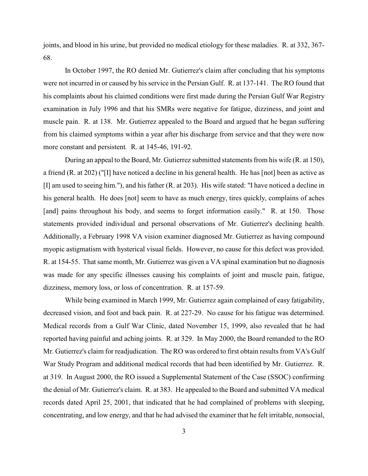joints, and blood in his urine, but provided no medical etiology for these maladies. R. at 332, 367- 68.

 In October 1997, the RO denied Mr. Gutierrez's claim after concluding that his symptoms were not incurred in or caused by his service in the Persian Gulf. R. at 137-141. The RO found that his complaints about his claimed conditions were first made during the Persian Gulf War Registry examination in July 1996 and that his SMRs were negative for fatigue, dizziness, and joint and muscle pain. R. at 138. Mr. Gutierrez appealed to the Board and argued that he began suffering from his claimed symptoms within a year after his discharge from service and that they were now more constant and persistent*.* R. at 145-46, 191-92.

During an appeal to the Board, Mr. Gutierrez submitted statements from his wife (R. at 150), a friend (R. at 202) ("[I] have noticed a decline in his general health. He has [not] been as active as [I] am used to seeing him."), and his father (R. at 203). His wife stated: "I have noticed a decline in his general health. He does [not] seem to have as much energy, tires quickly, complains of aches [and] pains throughout his body, and seems to forget information easily." R. at 150. Those statements provided individual and personal observations of Mr. Gutierrez's declining health. Additionally, a February 1998 VA vision examiner diagnosed Mr. Gutierrez as having compound myopic astigmatism with hysterical visual fields. However, no cause for this defect was provided. R. at 154-55. That same month, Mr. Gutierrez was given a VA spinal examination but no diagnosis was made for any specific illnesses causing his complaints of joint and muscle pain, fatigue, dizziness, memory loss, or loss of concentration. R. at 157-59.

While being examined in March 1999, Mr. Gutierrez again complained of easy fatigability, decreased vision, and foot and back pain. R. at 227-29. No cause for his fatigue was determined. Medical records from a Gulf War Clinic, dated November 15, 1999, also revealed that he had reported having painful and aching joints. R. at 329. In May 2000, the Board remanded to the RO Mr. Gutierrez's claim for readjudication. The RO was ordered to first obtain results from VA's Gulf War Study Program and additional medical records that had been identified by Mr. Gutierrez. R. at 319. In August 2000, the RO issued a Supplemental Statement of the Case (SSOC) confirming the denial of Mr. Gutierrez's claim. R. at 383. He appealed to the Board and submitted VA medical records dated April 25, 2001, that indicated that he had complained of problems with sleeping, concentrating, and low energy, and that he had advised the examiner that he felt irritable, nonsocial,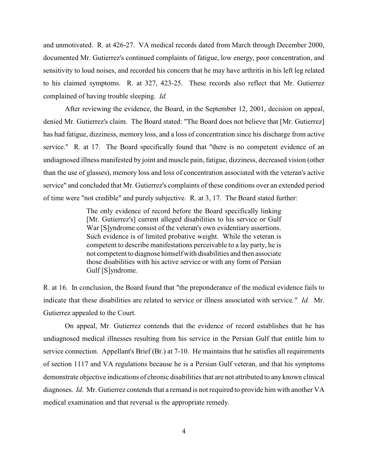and unmotivated. R. at 426-27. VA medical records dated from March through December 2000, documented Mr. Gutierrez's continued complaints of fatigue, low energy, poor concentration, and sensitivity to loud noises, and recorded his concern that he may have arthritis in his left leg related to his claimed symptoms. R. at 327, 423-25. These records also reflect that Mr. Gutierrez complained of having trouble sleeping. *Id.*

After reviewing the evidence, the Board, in the September 12, 2001, decision on appeal, denied Mr. Gutierrez's claim. The Board stated: "The Board does not believe that [Mr. Gutierrez] has had fatigue, dizziness, memory loss, and a loss of concentration since his discharge from active service." R. at 17. The Board specifically found that "there is no competent evidence of an undiagnosed illness manifested by joint and muscle pain, fatigue, dizziness, decreased vision (other than the use of glasses), memory loss and loss of concentration associated with the veteran's active service" and concluded that Mr. Gutierrez's complaints of these conditions over an extended period of time were "not credible" and purely subjective. R. at 3, 17. The Board stated further:

> The only evidence of record before the Board specifically linking [Mr. Gutierrez's] current alleged disabilities to his service or Gulf War [S]yndrome consist of the veteran's own evidentiary assertions. Such evidence is of limited probative weight. While the veteran is competent to describe manifestations perceivable to a lay party, he is not competent to diagnose himself with disabilities and then associate those disabilities with his active service or with any form of Persian Gulf [S]yndrome.

R. at 16. In conclusion, the Board found that "the preponderance of the medical evidence fails to indicate that these disabilities are related to service or illness associated with service*." Id.* Mr. Gutierrez appealed to the Court.

On appeal, Mr. Gutierrez contends that the evidence of record establishes that he has undiagnosed medical illnesses resulting from his service in the Persian Gulf that entitle him to service connection. Appellant's Brief (Br.) at 7-10. He maintains that he satisfies all requirements of section 1117 and VA regulations because he is a Persian Gulf veteran, and that his symptoms demonstrate objective indications of chronic disabilities that are not attributed to any known clinical diagnoses. *Id*. Mr. Gutierrez contends that a remand is not required to provide him with another VA medical examination and that reversal is the appropriate remedy.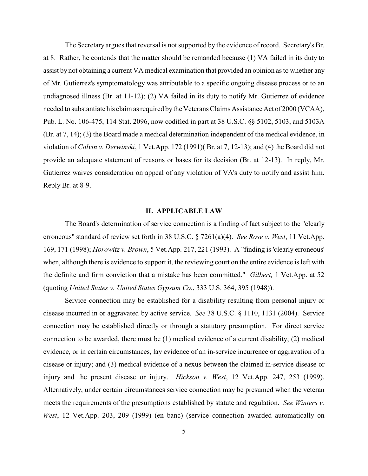The Secretary argues that reversal is not supported by the evidence of record. Secretary's Br. at 8. Rather, he contends that the matter should be remanded because (1) VA failed in its duty to assist by not obtaining a current VA medical examination that provided an opinion as to whether any of Mr. Gutierrez's symptomatology was attributable to a specific ongoing disease process or to an undiagnosed illness (Br. at 11-12); (2) VA failed in its duty to notify Mr. Gutierrez of evidence needed to substantiate his claim as required by the Veterans Claims Assistance Act of 2000 (VCAA), Pub. L. No. 106-475, 114 Stat. 2096, now codified in part at 38 U.S.C. §§ 5102, 5103, and 5103A (Br. at 7, 14); (3) the Board made a medical determination independent of the medical evidence, in violation of *Colvin v. Derwinski*, 1 Vet.App. 172 (1991)( Br. at 7, 12-13); and (4) the Board did not provide an adequate statement of reasons or bases for its decision (Br. at 12-13). In reply, Mr. Gutierrez waives consideration on appeal of any violation of VA's duty to notify and assist him. Reply Br. at 8-9.

#### **II. APPLICABLE LAW**

The Board's determination of service connection is a finding of fact subject to the "clearly erroneous" standard of review set forth in 38 U.S.C. § 7261(a)(4). *See Rose v. West*, 11 Vet.App. 169, 171 (1998); *Horowitz v. Brown*, 5 Vet.App. 217, 221 (1993). A "finding is 'clearly erroneous' when, although there is evidence to support it, the reviewing court on the entire evidence is left with the definite and firm conviction that a mistake has been committed." *Gilbert,* 1 Vet.App. at 52 (quoting *United States v. United States Gypsum Co.*, 333 U.S. 364, 395 (1948)).

Service connection may be established for a disability resulting from personal injury or disease incurred in or aggravated by active service. *See* 38 U.S.C. § 1110, 1131 (2004). Service connection may be established directly or through a statutory presumption. For direct service connection to be awarded, there must be (1) medical evidence of a current disability; (2) medical evidence, or in certain circumstances, lay evidence of an in-service incurrence or aggravation of a disease or injury; and (3) medical evidence of a nexus between the claimed in-service disease or injury and the present disease or injury. *Hickson v. West*, 12 Vet.App. 247, 253 (1999). Alternatively, under certain circumstances service connection may be presumed when the veteran meets the requirements of the presumptions established by statute and regulation. *See Winters v. West*, 12 Vet.App. 203, 209 (1999) (en banc) (service connection awarded automatically on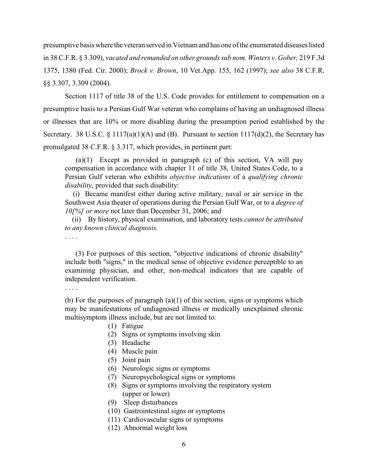presumptive basis where the veteran served in Vietnam and has one of the enumerated diseases listed in 38 C.F.R. § 3.309), *vacated and remanded on other grounds sub nom. Winters v. Gober,* 219 F.3d 1375, 1380 (Fed. Cir. 2000); *Brock v. Brown*, 10 Vet.App. 155, 162 (1997); *see also* 38 C.F.R. §§ 3.307, 3.309 (2004).

Section 1117 of title 38 of the U.S. Code provides for entitlement to compensation on a presumptive basis to a Persian Gulf War veteran who complains of having an undiagnosed illness or illnesses that are 10% or more disabling during the presumption period established by the Secretary. 38 U.S.C. § 1117(a)(1)(A) and (B). Pursuant to section  $1117(d)(2)$ , the Secretary has promulgated 38 C.F.R. § 3.317, which provides, in pertinent part:

 $(a)(1)$  Except as provided in paragraph (c) of this section, VA will pay compensation in accordance with chapter 11 of title 38, United States Code, to a Persian Gulf veteran who exhibits *objective indications* of a *qualifying chronic disability*, provided that such disability:

 (i) Became manifest either during active military, naval or air service in the Southwest Asia theater of operations during the Persian Gulf War, or to a *degree of 10[%] or more* not later than December 31, 2006; and

 (ii) By history, physical examination, and laboratory tests *cannot be attributed to any known clinical diagnosis.* 

. . . .

 (3) For purposes of this section, "objective indications of chronic disability" include both "signs," in the medical sense of objective evidence perceptible to an examining physician, and other, non-medical indicators that are capable of independent verification.

. . . .

(b) For the purposes of paragraph  $(a)(1)$  of this section, signs or symptoms which may be manifestations of undiagnosed illness or medically unexplained chronic multisymptom illness include, but are not limited to:

- (1) Fatigue
- (2) Signs or symptoms involving skin
- (3) Headache
- (4) Muscle pain
- (5) Joint pain
- (6) Neurologic signs or symptoms
- (7) Neuropsychological signs or symptoms
- (8) Signs or symptoms involving the respiratory system (upper or lower)
- (9) Sleep disturbances
- (10) Gastrointestinal signs or symptoms
- (11) Cardiovascular signs or symptoms
- (12) Abnormal weight loss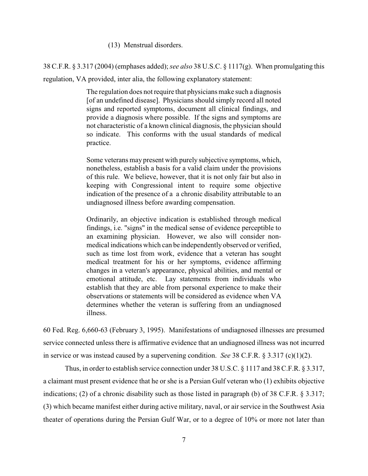(13) Menstrual disorders.

38 C.F.R. § 3.317 (2004) (emphases added); *see also* 38 U.S.C. § 1117(g). When promulgating this regulation, VA provided, inter alia, the following explanatory statement:

> The regulation does not require that physicians make such a diagnosis [of an undefined disease]. Physicians should simply record all noted signs and reported symptoms, document all clinical findings, and provide a diagnosis where possible. If the signs and symptoms are not characteristic of a known clinical diagnosis, the physician should so indicate. This conforms with the usual standards of medical practice.

> Some veterans may present with purely subjective symptoms, which, nonetheless, establish a basis for a valid claim under the provisions of this rule. We believe, however, that it is not only fair but also in keeping with Congressional intent to require some objective indication of the presence of a a chronic disability attributable to an undiagnosed illness before awarding compensation.

> Ordinarily, an objective indication is established through medical findings, i.e. "signs" in the medical sense of evidence perceptible to an examining physician. However, we also will consider nonmedical indications which can be independently observed or verified, such as time lost from work, evidence that a veteran has sought medical treatment for his or her symptoms, evidence affirming changes in a veteran's appearance, physical abilities, and mental or emotional attitude, etc. Lay statements from individuals who establish that they are able from personal experience to make their observations or statements will be considered as evidence when VA determines whether the veteran is suffering from an undiagnosed illness.

60 Fed. Reg. 6,660-63 (February 3, 1995). Manifestations of undiagnosed illnesses are presumed service connected unless there is affirmative evidence that an undiagnosed illness was not incurred in service or was instead caused by a supervening condition. *See* 38 C.F.R. § 3.317 (c)(1)(2).

Thus, in order to establish service connection under 38 U.S.C. § 1117 and 38 C.F.R. § 3.317, a claimant must present evidence that he or she is a Persian Gulf veteran who (1) exhibits objective indications; (2) of a chronic disability such as those listed in paragraph (b) of 38 C.F.R.  $\S$  3.317; (3) which became manifest either during active military, naval, or air service in the Southwest Asia theater of operations during the Persian Gulf War, or to a degree of 10% or more not later than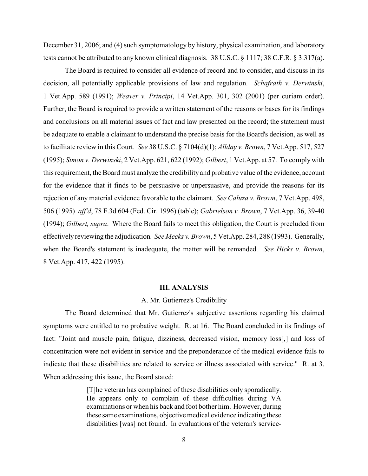December 31, 2006; and (4) such symptomatology by history, physical examination, and laboratory tests cannot be attributed to any known clinical diagnosis. 38 U.S.C. § 1117; 38 C.F.R. § 3.317(a).

The Board is required to consider all evidence of record and to consider, and discuss in its decision, all potentially applicable provisions of law and regulation. *Schafrath v. Derwinski*, 1 Vet.App. 589 (1991); *Weaver v. Principi*, 14 Vet.App. 301, 302 (2001) (per curiam order). Further, the Board is required to provide a written statement of the reasons or bases for its findings and conclusions on all material issues of fact and law presented on the record; the statement must be adequate to enable a claimant to understand the precise basis for the Board's decision, as well as to facilitate review in this Court. *See* 38 U.S.C. § 7104(d)(1); *Allday v. Brown*, 7 Vet.App. 517, 527 (1995); *Simon v. Derwinski*, 2 Vet.App. 621, 622 (1992); *Gilbert*, 1 Vet.App. at 57. To comply with this requirement, the Board must analyze the credibility and probative value of the evidence, account for the evidence that it finds to be persuasive or unpersuasive, and provide the reasons for its rejection of any material evidence favorable to the claimant. *See Caluza v. Brown*, 7 Vet.App. 498, 506 (1995) *aff'd*, 78 F.3d 604 (Fed. Cir. 1996) (table); *Gabrielson v. Brown*, 7 Vet.App. 36, 39-40 (1994); *Gilbert, supra*. Where the Board fails to meet this obligation, the Court is precluded from effectively reviewing the adjudication*. See Meeks v. Brown*, 5 Vet.App. 284, 288 (1993). Generally, when the Board's statement is inadequate, the matter will be remanded. *See Hicks v. Brown*, 8 Vet.App. 417, 422 (1995).

### **III. ANALYSIS**

## A. Mr. Gutierrez's Credibility

The Board determined that Mr. Gutierrez's subjective assertions regarding his claimed symptoms were entitled to no probative weight. R. at 16. The Board concluded in its findings of fact: "Joint and muscle pain, fatigue, dizziness, decreased vision, memory loss[,] and loss of concentration were not evident in service and the preponderance of the medical evidence fails to indicate that these disabilities are related to service or illness associated with service." R. at 3. When addressing this issue, the Board stated:

> [T]he veteran has complained of these disabilities only sporadically. He appears only to complain of these difficulties during VA examinations or when his back and foot bother him. However, during these same examinations, objective medical evidence indicating these disabilities [was] not found. In evaluations of the veteran's service-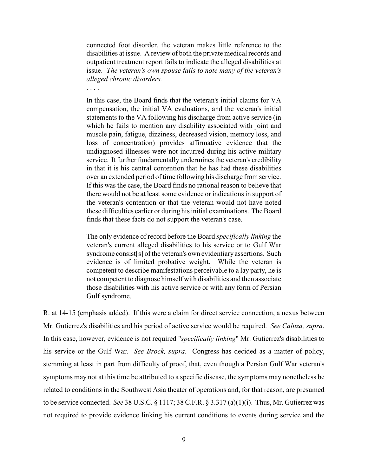connected foot disorder, the veteran makes little reference to the disabilities at issue. A review of both the private medical records and outpatient treatment report fails to indicate the alleged disabilities at issue. *The veteran's own spouse fails to note many of the veteran's alleged chronic disorders.* 

. . . .

In this case, the Board finds that the veteran's initial claims for VA compensation, the initial VA evaluations, and the veteran's initial statements to the VA following his discharge from active service (in which he fails to mention any disability associated with joint and muscle pain, fatigue, dizziness, decreased vision, memory loss, and loss of concentration) provides affirmative evidence that the undiagnosed illnesses were not incurred during his active military service. It further fundamentally undermines the veteran's credibility in that it is his central contention that he has had these disabilities over an extended period of time following his discharge from service. If this was the case, the Board finds no rational reason to believe that there would not be at least some evidence or indications in support of the veteran's contention or that the veteran would not have noted these difficulties earlier or during his initial examinations. The Board finds that these facts do not support the veteran's case.

The only evidence of record before the Board *specifically linking* the veteran's current alleged disabilities to his service or to Gulf War syndrome consist[s] of the veteran's own evidentiary assertions. Such evidence is of limited probative weight. While the veteran is competent to describe manifestations perceivable to a lay party, he is not competent to diagnose himself with disabilities and then associate those disabilities with his active service or with any form of Persian Gulf syndrome.

R. at 14-15 (emphasis added). If this were a claim for direct service connection, a nexus between Mr. Gutierrez's disabilities and his period of active service would be required. *See Caluza, supra*. In this case, however, evidence is not required "*specifically linking*" Mr. Gutierrez's disabilities to his service or the Gulf War. *See Brock, supra*. Congress has decided as a matter of policy, stemming at least in part from difficulty of proof, that, even though a Persian Gulf War veteran's symptoms may not at this time be attributed to a specific disease, the symptoms may nonetheless be related to conditions in the Southwest Asia theater of operations and, for that reason, are presumed to be service connected. *See* 38 U.S.C. § 1117; 38 C.F.R. § 3.317 (a)(1)(i). Thus, Mr. Gutierrez was not required to provide evidence linking his current conditions to events during service and the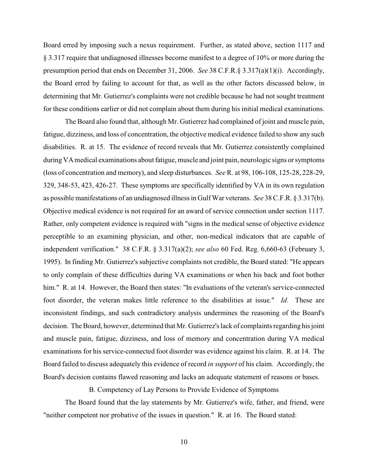Board erred by imposing such a nexus requirement. Further, as stated above, section 1117 and § 3.317 require that undiagnosed illnesses become manifest to a degree of 10% or more during the presumption period that ends on December 31, 2006. *See* 38 C.F.R.§ 3.317(a)(1)(i). Accordingly, the Board erred by failing to account for that, as well as the other factors discussed below, in determining that Mr. Gutierrez's complaints were not credible because he had not sought treatment for these conditions earlier or did not complain about them during his initial medical examinations.

The Board also found that, although Mr. Gutierrez had complained of joint and muscle pain, fatigue, dizziness, and loss of concentration, the objective medical evidence failed to show any such disabilities. R. at 15. The evidence of record reveals that Mr. Gutierrez consistently complained during VA medical examinations about fatigue, muscle and joint pain, neurologic signs or symptoms (loss of concentration and memory), and sleep disturbances. *See* R. at 98, 106-108, 125-28, 228-29, 329, 348-53, 423, 426-27. These symptoms are specifically identified by VA in its own regulation as possible manifestations of an undiagnosed illness in Gulf War veterans. *See* 38 C.F.R. § 3.317(b). Objective medical evidence is not required for an award of service connection under section 1117. Rather, only competent evidence is required with "signs in the medical sense of objective evidence perceptible to an examining physician, and other, non-medical indicators that are capable of independent verification." 38 C.F.R. § 3.317(a)(2); *see also* 60 Fed. Reg. 6,660-63 (February 3, 1995). In finding Mr. Gutierrez's subjective complaints not credible, the Board stated: "He appears to only complain of these difficulties during VA examinations or when his back and foot bother him." R. at 14. However, the Board then states: "In evaluations of the veteran's service-connected foot disorder, the veteran makes little reference to the disabilities at issue." *Id.* These are inconsistent findings, and such contradictory analysis undermines the reasoning of the Board's decision. The Board, however, determined that Mr. Gutierrez's lack of complaints regarding his joint and muscle pain, fatigue, dizziness, and loss of memory and concentration during VA medical examinations for his service-connected foot disorder was evidence against his claim. R. at 14. The Board failed to discuss adequately this evidence of record *in support* of his claim. Accordingly, the Board's decision contains flawed reasoning and lacks an adequate statement of reasons or bases.

B. Competency of Lay Persons to Provide Evidence of Symptoms

The Board found that the lay statements by Mr. Gutierrez's wife, father, and friend, were "neither competent nor probative of the issues in question." R. at 16. The Board stated: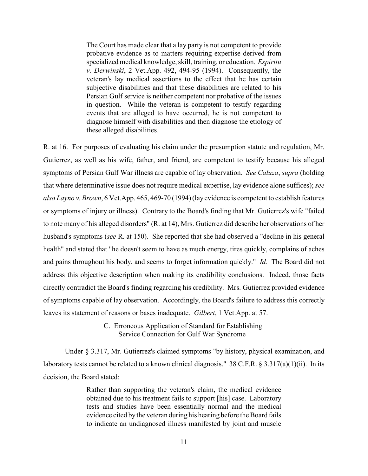The Court has made clear that a lay party is not competent to provide probative evidence as to matters requiring expertise derived from specialized medical knowledge, skill, training, or education. *Espiritu v. Derwinski*, 2 Vet.App. 492, 494-95 (1994). Consequently, the veteran's lay medical assertions to the effect that he has certain subjective disabilities and that these disabilities are related to his Persian Gulf service is neither competent nor probative of the issues in question. While the veteran is competent to testify regarding events that are alleged to have occurred, he is not competent to diagnose himself with disabilities and then diagnose the etiology of these alleged disabilities.

R. at 16. For purposes of evaluating his claim under the presumption statute and regulation, Mr. Gutierrez, as well as his wife, father, and friend, are competent to testify because his alleged symptoms of Persian Gulf War illness are capable of lay observation. *See Caluza*, *supra* (holding that where determinative issue does not require medical expertise, lay evidence alone suffices); *see also Layno v. Brown*, 6 Vet.App. 465, 469-70 (1994) (lay evidence is competent to establish features or symptoms of injury or illness). Contrary to the Board's finding that Mr. Gutierrez's wife "failed to note many of his alleged disorders" (R. at 14), Mrs. Gutierrez did describe her observations of her husband's symptoms (*see* R. at 150). She reported that she had observed a "decline in his general health" and stated that "he doesn't seem to have as much energy, tires quickly, complains of aches and pains throughout his body, and seems to forget information quickly." *Id.* The Board did not address this objective description when making its credibility conclusions. Indeed, those facts directly contradict the Board's finding regarding his credibility. Mrs. Gutierrez provided evidence of symptoms capable of lay observation. Accordingly, the Board's failure to address this correctly leaves its statement of reasons or bases inadequate. *Gilbert*, 1 Vet.App. at 57.

> C. Erroneous Application of Standard for Establishing Service Connection for Gulf War Syndrome

Under § 3.317, Mr. Gutierrez's claimed symptoms "by history, physical examination, and laboratory tests cannot be related to a known clinical diagnosis." 38 C.F.R. § 3.317(a)(1)(ii). In its decision, the Board stated:

> Rather than supporting the veteran's claim, the medical evidence obtained due to his treatment fails to support [his] case. Laboratory tests and studies have been essentially normal and the medical evidence cited by the veteran during his hearing before the Board fails to indicate an undiagnosed illness manifested by joint and muscle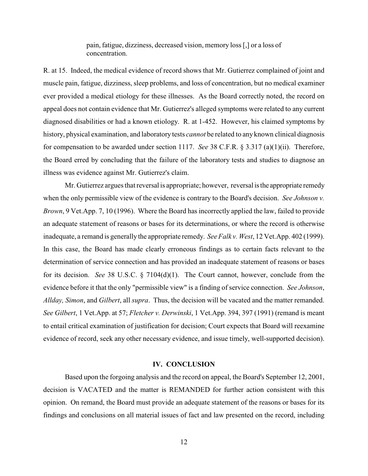pain, fatigue, dizziness, decreased vision, memory loss [,] or a loss of concentration.

R. at 15. Indeed, the medical evidence of record shows that Mr. Gutierrez complained of joint and muscle pain, fatigue, dizziness, sleep problems, and loss of concentration, but no medical examiner ever provided a medical etiology for these illnesses. As the Board correctly noted, the record on appeal does not contain evidence that Mr. Gutierrez's alleged symptoms were related to any current diagnosed disabilities or had a known etiology. R. at 1-452. However, his claimed symptoms by history, physical examination, and laboratory tests *cannot* be related to any known clinical diagnosis for compensation to be awarded under section 1117. *See* 38 C.F.R. § 3.317 (a)(1)(ii). Therefore, the Board erred by concluding that the failure of the laboratory tests and studies to diagnose an illness was evidence against Mr. Gutierrez's claim.

Mr. Gutierrez argues that reversal is appropriate; however, reversal is the appropriate remedy when the only permissible view of the evidence is contrary to the Board's decision. *See Johnson v. Brown*, 9 Vet.App. 7, 10 (1996). Where the Board has incorrectly applied the law, failed to provide an adequate statement of reasons or bases for its determinations, or where the record is otherwise inadequate, a remand is generally the appropriate remedy. *SeeFalk v. West*, 12 Vet.App. 402 (1999). In this case, the Board has made clearly erroneous findings as to certain facts relevant to the determination of service connection and has provided an inadequate statement of reasons or bases for its decision. *See* 38 U.S.C. § 7104(d)(1). The Court cannot, however, conclude from the evidence before it that the only "permissible view" is a finding of service connection. *See Johnson*, *Allday, Simon*, and *Gilbert*, all *supra*. Thus, the decision will be vacated and the matter remanded. *See Gilbert*, 1 Vet.App. at 57; *Fletcher v. Derwinski*, 1 Vet.App. 394, 397 (1991) (remand is meant to entail critical examination of justification for decision; Court expects that Board will reexamine evidence of record, seek any other necessary evidence, and issue timely, well-supported decision).

### **IV. CONCLUSION**

Based upon the forgoing analysis and the record on appeal, the Board's September 12, 2001, decision is VACATED and the matter is REMANDED for further action consistent with this opinion. On remand, the Board must provide an adequate statement of the reasons or bases for its findings and conclusions on all material issues of fact and law presented on the record, including